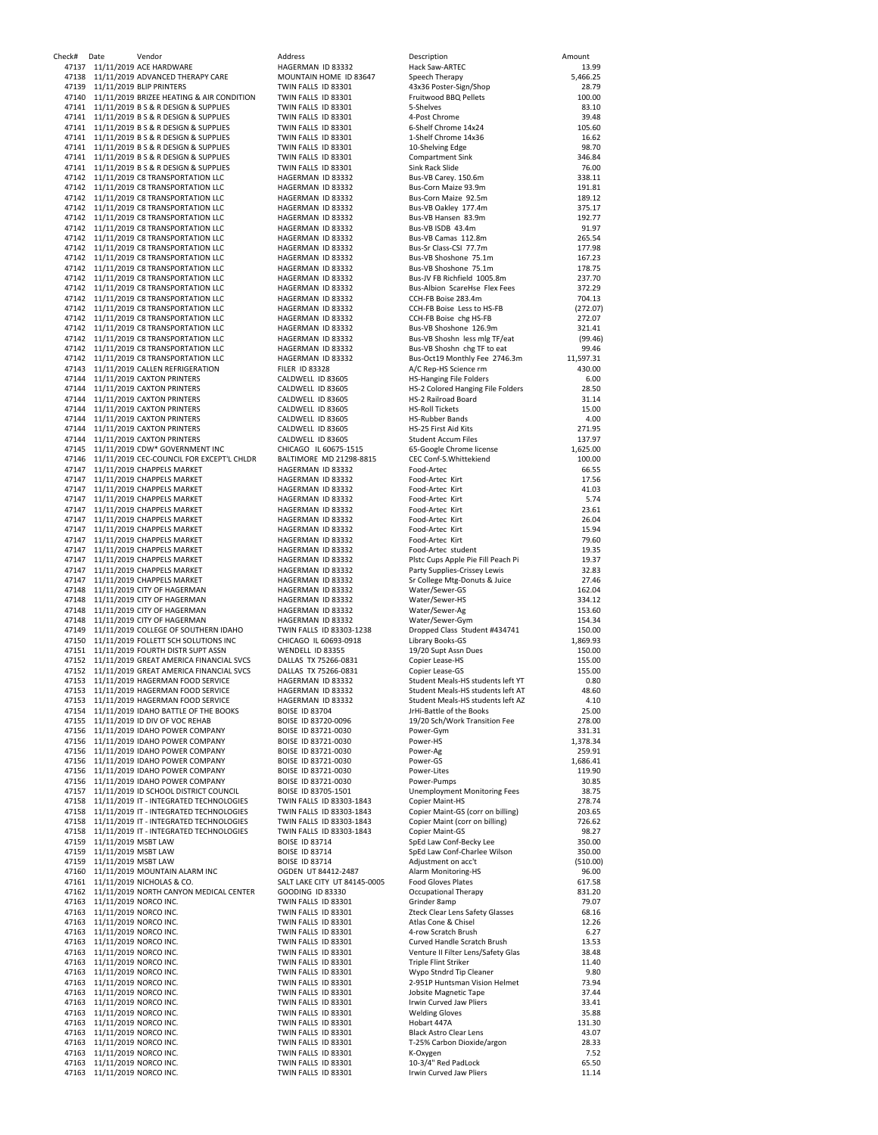| Check# | Date                                                       | Vendor                                                                                   | Address                                              | Description                                                         | Amount             |
|--------|------------------------------------------------------------|------------------------------------------------------------------------------------------|------------------------------------------------------|---------------------------------------------------------------------|--------------------|
| 47137  |                                                            | 11/11/2019 ACE HARDWARE<br>47138 11/11/2019 ADVANCED THERAPY CARE                        | HAGERMAN ID 83332<br>MOUNTAIN HOME ID 83647          | Hack Saw-ARTEC<br>Speech Therapy                                    | 13.99<br>5,466.25  |
| 47139  |                                                            | 11/11/2019 BLIP PRINTERS                                                                 | TWIN FALLS ID 83301                                  | 43x36 Poster-Sign/Shop                                              | 28.79              |
|        |                                                            | 47140 11/11/2019 BRIZEE HEATING & AIR CONDITION                                          | TWIN FALLS ID 83301                                  | Fruitwood BBQ Pellets                                               | 100.00             |
|        |                                                            | 47141 11/11/2019 B S & R DESIGN & SUPPLIES                                               | TWIN FALLS ID 83301                                  | 5-Shelves                                                           | 83.10              |
|        |                                                            | 47141 11/11/2019 B S & R DESIGN & SUPPLIES                                               | TWIN FALLS ID 83301                                  | 4-Post Chrome                                                       | 39.48              |
|        |                                                            | 47141 11/11/2019 B S & R DESIGN & SUPPLIES                                               | TWIN FALLS ID 83301                                  | 6-Shelf Chrome 14x24                                                | 105.60             |
|        |                                                            | 47141 11/11/2019 B S & R DESIGN & SUPPLIES                                               | TWIN FALLS ID 83301                                  | 1-Shelf Chrome 14x36                                                | 16.62              |
| 47141  |                                                            | 11/11/2019 B S & R DESIGN & SUPPLIES                                                     | TWIN FALLS ID 83301                                  | 10-Shelving Edge                                                    | 98.70              |
|        |                                                            | 47141 11/11/2019 B S & R DESIGN & SUPPLIES                                               | TWIN FALLS ID 83301                                  | <b>Compartment Sink</b>                                             | 346.84             |
|        |                                                            | 47141 11/11/2019 B S & R DESIGN & SUPPLIES                                               | TWIN FALLS ID 83301                                  | Sink Rack Slide                                                     | 76.00              |
|        |                                                            | 47142 11/11/2019 C8 TRANSPORTATION LLC<br>47142 11/11/2019 C8 TRANSPORTATION LLC         | HAGERMAN ID 83332<br>HAGERMAN ID 83332               | Bus-VB Carey. 150.6m<br>Bus-Corn Maize 93.9m                        | 338.11<br>191.81   |
|        |                                                            | 47142 11/11/2019 C8 TRANSPORTATION LLC                                                   | HAGERMAN ID 83332                                    | Bus-Corn Maize 92.5m                                                | 189.12             |
|        |                                                            | 47142 11/11/2019 C8 TRANSPORTATION LLC                                                   | HAGERMAN ID 83332                                    | Bus-VB Oakley 177.4m                                                | 375.17             |
|        |                                                            | 47142 11/11/2019 C8 TRANSPORTATION LLC                                                   | HAGERMAN ID 83332                                    | Bus-VB Hansen 83.9m                                                 | 192.77             |
|        |                                                            | 47142 11/11/2019 C8 TRANSPORTATION LLC                                                   | HAGERMAN ID 83332                                    | Bus-VB ISDB 43.4m                                                   | 91.97              |
|        |                                                            | 47142 11/11/2019 C8 TRANSPORTATION LLC                                                   | HAGERMAN ID 83332                                    | Bus-VB Camas 112.8m                                                 | 265.54             |
|        |                                                            | 47142 11/11/2019 C8 TRANSPORTATION LLC                                                   | HAGERMAN ID 83332                                    | Bus-Sr Class-CSI 77.7m                                              | 177.98             |
|        |                                                            | 47142 11/11/2019 C8 TRANSPORTATION LLC                                                   | HAGERMAN ID 83332                                    | Bus-VB Shoshone 75.1m                                               | 167.23             |
|        |                                                            | 47142 11/11/2019 C8 TRANSPORTATION LLC                                                   | HAGERMAN ID 83332                                    | Bus-VB Shoshone 75.1m                                               | 178.75             |
|        |                                                            | 47142 11/11/2019 C8 TRANSPORTATION LLC                                                   | HAGERMAN ID 83332                                    | Bus-JV FB Richfield 1005.8m                                         | 237.70             |
|        |                                                            | 47142 11/11/2019 C8 TRANSPORTATION LLC                                                   | HAGERMAN ID 83332                                    | Bus-Albion ScareHse Flex Fees                                       | 372.29             |
|        |                                                            | 47142 11/11/2019 C8 TRANSPORTATION LLC                                                   | HAGERMAN ID 83332                                    | CCH-FB Boise 283.4m                                                 | 704.13             |
|        |                                                            | 47142 11/11/2019 C8 TRANSPORTATION LLC<br>47142 11/11/2019 C8 TRANSPORTATION LLC         | HAGERMAN ID 83332<br>HAGERMAN ID 83332               | CCH-FB Boise Less to HS-FB                                          | (272.07)<br>272.07 |
|        |                                                            | 47142 11/11/2019 C8 TRANSPORTATION LLC                                                   | HAGERMAN ID 83332                                    | CCH-FB Boise chg HS-FB<br>Bus-VB Shoshone 126.9m                    | 321.41             |
|        |                                                            | 47142 11/11/2019 C8 TRANSPORTATION LLC                                                   | HAGERMAN ID 83332                                    | Bus-VB Shoshn less mlg TF/eat                                       | (99.46)            |
|        |                                                            | 47142 11/11/2019 C8 TRANSPORTATION LLC                                                   | HAGERMAN ID 83332                                    | Bus-VB Shoshn chg TF to eat                                         | 99.46              |
|        |                                                            | 47142 11/11/2019 C8 TRANSPORTATION LLC                                                   | HAGERMAN ID 83332                                    | Bus-Oct19 Monthly Fee 2746.3m                                       | 11,597.31          |
| 47143  |                                                            | 11/11/2019 CALLEN REFRIGERATION                                                          | <b>FILER ID 83328</b>                                | A/C Rep-HS Science rm                                               | 430.00             |
|        |                                                            | 47144 11/11/2019 CAXTON PRINTERS                                                         | CALDWELL ID 83605                                    | <b>HS-Hanging File Folders</b>                                      | 6.00               |
|        |                                                            | 47144 11/11/2019 CAXTON PRINTERS                                                         | CALDWELL ID 83605                                    | HS-2 Colored Hanging File Folders                                   | 28.50              |
|        |                                                            | 47144 11/11/2019 CAXTON PRINTERS                                                         | CALDWELL ID 83605                                    | HS-2 Railroad Board                                                 | 31.14              |
|        |                                                            | 47144 11/11/2019 CAXTON PRINTERS                                                         | CALDWELL ID 83605                                    | <b>HS-Roll Tickets</b>                                              | 15.00              |
|        |                                                            | 47144 11/11/2019 CAXTON PRINTERS                                                         | CALDWELL ID 83605                                    | <b>HS-Rubber Bands</b>                                              | 4.00               |
| 47144  |                                                            | 11/11/2019 CAXTON PRINTERS                                                               | CALDWELL ID 83605                                    | HS-25 First Aid Kits                                                | 271.95             |
|        |                                                            | 47144 11/11/2019 CAXTON PRINTERS<br>47145 11/11/2019 CDW* GOVERNMENT INC                 | CALDWELL ID 83605<br>CHICAGO IL 60675-1515           | <b>Student Accum Files</b>                                          | 137.97             |
|        |                                                            | 47146 11/11/2019 CEC-COUNCIL FOR EXCEPT'L CHLDR                                          | BALTIMORE MD 21298-8815                              | 65-Google Chrome license<br>CEC Conf-S.Whittekiend                  | 1,625.00<br>100.00 |
|        |                                                            | 47147 11/11/2019 CHAPPELS MARKET                                                         | HAGERMAN ID 83332                                    | Food-Artec                                                          | 66.55              |
|        |                                                            | 47147 11/11/2019 CHAPPELS MARKET                                                         | HAGERMAN ID 83332                                    | Food-Artec Kirt                                                     | 17.56              |
| 47147  |                                                            | 11/11/2019 CHAPPELS MARKET                                                               | HAGERMAN ID 83332                                    | Food-Artec Kirt                                                     | 41.03              |
| 47147  |                                                            | 11/11/2019 CHAPPELS MARKET                                                               | HAGERMAN ID 83332                                    | Food-Artec Kirt                                                     | 5.74               |
|        |                                                            | 47147 11/11/2019 CHAPPELS MARKET                                                         | HAGERMAN ID 83332                                    | Food-Artec Kirt                                                     | 23.61              |
|        |                                                            | 47147 11/11/2019 CHAPPELS MARKET                                                         | HAGERMAN ID 83332                                    | Food-Artec Kirt                                                     | 26.04              |
|        |                                                            | 47147 11/11/2019 CHAPPELS MARKET                                                         | HAGERMAN ID 83332                                    | Food-Artec Kirt                                                     | 15.94              |
| 47147  |                                                            | 11/11/2019 CHAPPELS MARKET                                                               | HAGERMAN ID 83332                                    | Food-Artec Kirt                                                     | 79.60              |
| 47147  |                                                            | 11/11/2019 CHAPPELS MARKET                                                               | HAGERMAN ID 83332                                    | Food-Artec student                                                  | 19.35              |
| 47147  |                                                            | 11/11/2019 CHAPPELS MARKET                                                               | HAGERMAN ID 83332                                    | Plstc Cups Apple Pie Fill Peach Pi                                  | 19.37              |
|        |                                                            | 47147 11/11/2019 CHAPPELS MARKET                                                         | HAGERMAN ID 83332                                    | Party Supplies-Crissey Lewis                                        | 32.83              |
| 47147  |                                                            | 11/11/2019 CHAPPELS MARKET                                                               | HAGERMAN ID 83332                                    | Sr College Mtg-Donuts & Juice                                       | 27.46              |
|        |                                                            | 47148 11/11/2019 CITY OF HAGERMAN<br>47148 11/11/2019 CITY OF HAGERMAN                   | HAGERMAN ID 83332<br>HAGERMAN ID 83332               | Water/Sewer-GS<br>Water/Sewer-HS                                    | 162.04<br>334.12   |
| 47148  |                                                            | 11/11/2019 CITY OF HAGERMAN                                                              | HAGERMAN ID 83332                                    | Water/Sewer-Ag                                                      | 153.60             |
| 47148  |                                                            | 11/11/2019 CITY OF HAGERMAN                                                              | HAGERMAN ID 83332                                    | Water/Sewer-Gym                                                     | 154.34             |
|        |                                                            | 47149 11/11/2019 COLLEGE OF SOUTHERN IDAHO                                               | TWIN FALLS ID 83303-1238                             | Dropped Class Student #434741                                       | 150.00             |
|        |                                                            | 47150 11/11/2019 FOLLETT SCH SOLUTIONS INC                                               | CHICAGO IL 60693-0918                                | Library Books-GS                                                    | 1,869.93           |
|        |                                                            | 47151 11/11/2019 FOURTH DISTR SUPT ASSN                                                  | WENDELL ID 83355                                     | 19/20 Supt Assn Dues                                                | 150.00             |
|        |                                                            | 47152 11/11/2019 GREAT AMERICA FINANCIAL SVCS                                            | DALLAS TX 75266-0831                                 | Copier Lease-HS                                                     | 155.00             |
|        |                                                            | 47152 11/11/2019 GREAT AMERICA FINANCIAL SVCS                                            | DALLAS TX 75266-0831                                 | Copier Lease-GS                                                     | 155.00             |
| 47153  |                                                            | 11/11/2019 HAGERMAN FOOD SERVICE                                                         | HAGERMAN ID 83332                                    | Student Meals-HS students left YT                                   | 0.80               |
|        |                                                            | 47153 11/11/2019 HAGERMAN FOOD SERVICE                                                   | HAGERMAN ID 83332                                    | Student Meals-HS students left AT                                   | 48.60              |
|        |                                                            | 47153 11/11/2019 HAGERMAN FOOD SERVICE<br>47154 11/11/2019 IDAHO BATTLE OF THE BOOKS     | HAGERMAN ID 83332<br><b>BOISE ID 83704</b>           | Student Meals-HS students left AZ<br>JrHi-Battle of the Books       | 4.10<br>25.00      |
|        |                                                            | 47155 11/11/2019 ID DIV OF VOC REHAB                                                     | BOISE ID 83720-0096                                  | 19/20 Sch/Work Transition Fee                                       | 278.00             |
|        |                                                            | 47156 11/11/2019 IDAHO POWER COMPANY                                                     | BOISE ID 83721-0030                                  | Power-Gym                                                           | 331.31             |
|        |                                                            | 47156 11/11/2019 IDAHO POWER COMPANY                                                     | BOISE ID 83721-0030                                  | Power-HS                                                            | 1,378.34           |
|        |                                                            | 47156 11/11/2019 IDAHO POWER COMPANY                                                     | BOISE ID 83721-0030                                  | Power-Ag                                                            | 259.91             |
|        |                                                            | 47156 11/11/2019 IDAHO POWER COMPANY                                                     | BOISE ID 83721-0030                                  | Power-GS                                                            | 1,686.41           |
|        |                                                            | 47156 11/11/2019 IDAHO POWER COMPANY                                                     | BOISE ID 83721-0030                                  | Power-Lites                                                         | 119.90             |
|        |                                                            | 47156 11/11/2019 IDAHO POWER COMPANY                                                     | BOISE ID 83721-0030                                  | Power-Pumps                                                         | 30.85              |
|        |                                                            | 47157 11/11/2019 ID SCHOOL DISTRICT COUNCIL                                              | BOISE ID 83705-1501                                  | <b>Unemployment Monitoring Fees</b>                                 | 38.75              |
|        |                                                            | 47158 11/11/2019 IT - INTEGRATED TECHNOLOGIES                                            | TWIN FALLS ID 83303-1843                             | Copier Maint-HS                                                     | 278.74             |
|        |                                                            | 47158 11/11/2019 IT - INTEGRATED TECHNOLOGIES                                            | TWIN FALLS ID 83303-1843<br>TWIN FALLS ID 83303-1843 | Copier Maint-GS (corr on billing)<br>Copier Maint (corr on billing) | 203.65             |
| 47158  |                                                            | 47158 11/11/2019 IT - INTEGRATED TECHNOLOGIES<br>11/11/2019 IT - INTEGRATED TECHNOLOGIES | TWIN FALLS ID 83303-1843                             | <b>Copier Maint-GS</b>                                              | 726.62<br>98.27    |
|        | 47159 11/11/2019 MSBT LAW                                  |                                                                                          | <b>BOISE ID 83714</b>                                | SpEd Law Conf-Becky Lee                                             | 350.00             |
|        | 47159 11/11/2019 MSBT LAW                                  |                                                                                          | <b>BOISE ID 83714</b>                                | SpEd Law Conf-Charlee Wilson                                        | 350.00             |
|        | 47159 11/11/2019 MSBT LAW                                  |                                                                                          | <b>BOISE ID 83714</b>                                | Adjustment on acc't                                                 | (510.00)           |
|        |                                                            | 47160 11/11/2019 MOUNTAIN ALARM INC                                                      | OGDEN UT 84412-2487                                  | Alarm Monitoring-HS                                                 | 96.00              |
|        |                                                            | 47161 11/11/2019 NICHOLAS & CO.                                                          | SALT LAKE CITY UT 84145-0005                         | <b>Food Gloves Plates</b>                                           | 617.58             |
|        |                                                            | 47162 11/11/2019 NORTH CANYON MEDICAL CENTER                                             | GOODING ID 83330                                     | Occupational Therapy                                                | 831.20             |
|        | 47163 11/11/2019 NORCO INC.                                |                                                                                          | TWIN FALLS ID 83301                                  | Grinder 8amp                                                        | 79.07              |
|        | 47163 11/11/2019 NORCO INC.                                |                                                                                          | TWIN FALLS ID 83301                                  | Zteck Clear Lens Safety Glasses                                     | 68.16              |
|        | 47163 11/11/2019 NORCO INC.                                |                                                                                          | TWIN FALLS ID 83301                                  | Atlas Cone & Chisel                                                 | 12.26              |
|        | 47163 11/11/2019 NORCO INC.<br>47163 11/11/2019 NORCO INC. |                                                                                          | TWIN FALLS ID 83301<br>TWIN FALLS ID 83301           | 4-row Scratch Brush<br>Curved Handle Scratch Brush                  | 6.27<br>13.53      |
|        | 47163 11/11/2019 NORCO INC.                                |                                                                                          | TWIN FALLS ID 83301                                  | Venture II Filter Lens/Safety Glas                                  | 38.48              |
|        | 47163 11/11/2019 NORCO INC.                                |                                                                                          | TWIN FALLS ID 83301                                  | <b>Triple Flint Striker</b>                                         | 11.40              |
|        | 47163 11/11/2019 NORCO INC.                                |                                                                                          | TWIN FALLS ID 83301                                  | Wypo Stndrd Tip Cleaner                                             | 9.80               |
|        | 47163 11/11/2019 NORCO INC.                                |                                                                                          | TWIN FALLS ID 83301                                  | 2-951P Huntsman Vision Helmet                                       | 73.94              |
|        | 47163 11/11/2019 NORCO INC.                                |                                                                                          | TWIN FALLS ID 83301                                  | Jobsite Magnetic Tape                                               | 37.44              |
|        | 47163 11/11/2019 NORCO INC.                                |                                                                                          | TWIN FALLS ID 83301                                  | Irwin Curved Jaw Pliers                                             | 33.41              |
|        | 47163 11/11/2019 NORCO INC.                                |                                                                                          | TWIN FALLS ID 83301                                  | <b>Welding Gloves</b>                                               | 35.88              |
|        | 47163 11/11/2019 NORCO INC.                                |                                                                                          | TWIN FALLS ID 83301                                  | Hobart 447A                                                         | 131.30             |
|        | 47163 11/11/2019 NORCO INC.                                |                                                                                          | TWIN FALLS ID 83301                                  | <b>Black Astro Clear Lens</b>                                       | 43.07              |
|        | 47163 11/11/2019 NORCO INC.<br>47163 11/11/2019 NORCO INC. |                                                                                          | TWIN FALLS ID 83301<br>TWIN FALLS ID 83301           | T-25% Carbon Dioxide/argon<br>K-Oxygen                              | 28.33<br>7.52      |
|        | 47163 11/11/2019 NORCO INC.                                |                                                                                          | TWIN FALLS ID 83301                                  | 10-3/4" Red PadLock                                                 | 65.50              |
|        | 47163 11/11/2019 NORCO INC.                                |                                                                                          | TWIN FALLS ID 83301                                  | Irwin Curved Jaw Pliers                                             | 11.14              |
|        |                                                            |                                                                                          |                                                      |                                                                     |                    |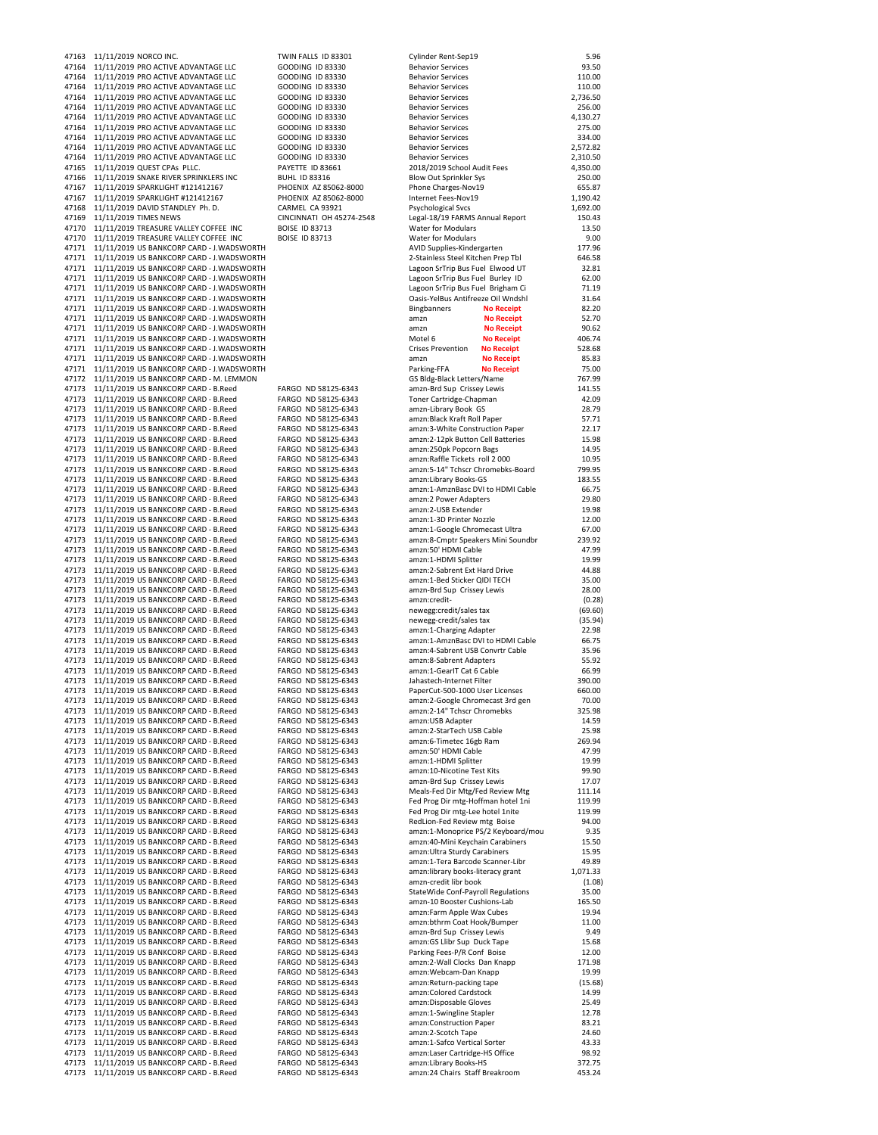| 47163          | 11/11/2019 NORCO INC.                                                                        | TWIN FALLS ID 83301                                | Cylinder Rent-Sep19                                                    | 5.96               |
|----------------|----------------------------------------------------------------------------------------------|----------------------------------------------------|------------------------------------------------------------------------|--------------------|
| 47164          | 11/11/2019 PRO ACTIVE ADVANTAGE LLC                                                          | <b>GOODING ID 83330</b>                            | <b>Behavior Services</b>                                               | 93.50              |
| 47164<br>47164 | 11/11/2019 PRO ACTIVE ADVANTAGE LLC<br>11/11/2019 PRO ACTIVE ADVANTAGE LLC                   | GOODING ID 83330<br><b>GOODING ID 83330</b>        | <b>Behavior Services</b><br><b>Behavior Services</b>                   | 110.00<br>110.00   |
| 47164          | 11/11/2019 PRO ACTIVE ADVANTAGE LLC                                                          | GOODING ID 83330                                   | <b>Behavior Services</b>                                               | 2,736.50           |
| 47164          | 11/11/2019 PRO ACTIVE ADVANTAGE LLC                                                          | GOODING ID 83330                                   | <b>Behavior Services</b>                                               | 256.00             |
| 47164<br>47164 | 11/11/2019 PRO ACTIVE ADVANTAGE LLC<br>11/11/2019 PRO ACTIVE ADVANTAGE LLC                   | <b>GOODING ID 83330</b><br>GOODING ID 83330        | <b>Behavior Services</b><br><b>Behavior Services</b>                   | 4,130.27<br>275.00 |
| 47164          | 11/11/2019 PRO ACTIVE ADVANTAGE LLC                                                          | GOODING ID 83330                                   | <b>Behavior Services</b>                                               | 334.00             |
| 47164          | 11/11/2019 PRO ACTIVE ADVANTAGE LLC                                                          | <b>GOODING ID 83330</b>                            | <b>Behavior Services</b>                                               | 2,572.82           |
| 47164          | 11/11/2019 PRO ACTIVE ADVANTAGE LLC                                                          | GOODING ID 83330                                   | <b>Behavior Services</b>                                               | 2,310.50           |
| 47165<br>47166 | 11/11/2019 QUEST CPAs PLLC.<br>11/11/2019 SNAKE RIVER SPRINKLERS INC                         | PAYETTE ID 83661<br><b>BUHL ID 83316</b>           | 2018/2019 School Audit Fees<br>Blow Out Sprinkler Sys                  | 4,350.00<br>250.00 |
| 47167          | 11/11/2019 SPARKLIGHT #121412167                                                             | PHOENIX AZ 85062-8000                              | Phone Charges-Nov19                                                    | 655.87             |
| 47167          | 11/11/2019 SPARKLIGHT #121412167                                                             | PHOENIX AZ 85062-8000                              | Internet Fees-Nov19                                                    | 1,190.42           |
| 47168<br>47169 | 11/11/2019 DAVID STANDLEY Ph. D.                                                             | CARMEL CA 93921<br><b>CINCINNATI OH 45274-2548</b> | <b>Psychological Svcs</b>                                              | 1,692.00           |
| 47170          | 11/11/2019 TIMES NEWS<br>11/11/2019 TREASURE VALLEY COFFEE INC                               | <b>BOISE ID 83713</b>                              | Legal-18/19 FARMS Annual Report<br>Water for Modulars                  | 150.43<br>13.50    |
| 47170          | 11/11/2019 TREASURE VALLEY COFFEE INC                                                        | <b>BOISE ID 83713</b>                              | <b>Water for Modulars</b>                                              | 9.00               |
| 47171          | 11/11/2019 US BANKCORP CARD - J.WADSWORTH                                                    |                                                    | AVID Supplies-Kindergarten                                             | 177.96             |
| 47171          | 11/11/2019 US BANKCORP CARD - J.WADSWORTH<br>47171 11/11/2019 US BANKCORP CARD - J.WADSWORTH |                                                    | 2-Stainless Steel Kitchen Prep Tbl<br>Lagoon SrTrip Bus Fuel Elwood UT | 646.58<br>32.81    |
| 47171          | 11/11/2019 US BANKCORP CARD - J.WADSWORTH                                                    |                                                    | Lagoon SrTrip Bus Fuel Burley ID                                       | 62.00              |
| 47171          | 11/11/2019 US BANKCORP CARD - J.WADSWORTH                                                    |                                                    | Lagoon SrTrip Bus Fuel Brigham Ci                                      | 71.19              |
| 47171          | 11/11/2019 US BANKCORP CARD - J.WADSWORTH                                                    |                                                    | Oasis-YelBus Antifreeze Oil Wndshl                                     | 31.64              |
| 47171<br>47171 | 11/11/2019 US BANKCORP CARD - J.WADSWORTH<br>11/11/2019 US BANKCORP CARD - J.WADSWORTH       |                                                    | <b>Bingbanners</b><br><b>No Receipt</b><br>amzn<br><b>No Receipt</b>   | 82.20<br>52.70     |
|                | 47171 11/11/2019 US BANKCORP CARD - J.WADSWORTH                                              |                                                    | <b>No Receipt</b><br>amzn                                              | 90.62              |
|                | 47171 11/11/2019 US BANKCORP CARD - J.WADSWORTH                                              |                                                    | Motel 6<br><b>No Receipt</b>                                           | 406.74             |
| 47171          | 11/11/2019 US BANKCORP CARD - J.WADSWORTH                                                    |                                                    | <b>Crises Prevention</b><br><b>No Receipt</b>                          | 528.68             |
| 47171          | 47171 11/11/2019 US BANKCORP CARD - J.WADSWORTH<br>11/11/2019 US BANKCORP CARD - J.WADSWORTH |                                                    | amzn<br><b>No Receipt</b><br>Parking-FFA<br><b>No Receipt</b>          | 85.83<br>75.00     |
| 47172          | 11/11/2019 US BANKCORP CARD - M. LEMMON                                                      |                                                    | GS Bldg-Black Letters/Name                                             | 767.99             |
|                | 47173 11/11/2019 US BANKCORP CARD - B.Reed                                                   | FARGO ND 58125-6343                                | amzn-Brd Sup Crissey Lewis                                             | 141.55             |
| 47173          | 11/11/2019 US BANKCORP CARD - B.Reed                                                         | FARGO ND 58125-6343                                | Toner Cartridge-Chapman                                                | 42.09              |
| 47173          | 11/11/2019 US BANKCORP CARD - B.Reed<br>47173 11/11/2019 US BANKCORP CARD - B.Reed           | FARGO ND 58125-6343<br>FARGO ND 58125-6343         | amzn-Library Book GS<br>amzn:Black Kraft Roll Paper                    | 28.79<br>57.71     |
|                | 47173 11/11/2019 US BANKCORP CARD - B.Reed                                                   | FARGO ND 58125-6343                                | amzn:3-White Construction Paper                                        | 22.17              |
| 47173          | 11/11/2019 US BANKCORP CARD - B.Reed                                                         | FARGO ND 58125-6343                                | amzn:2-12pk Button Cell Batteries                                      | 15.98              |
| 47173          | 11/11/2019 US BANKCORP CARD - B.Reed                                                         | FARGO ND 58125-6343                                | amzn:250pk Popcorn Bags                                                | 14.95              |
| 47173<br>47173 | 11/11/2019 US BANKCORP CARD - B.Reed<br>11/11/2019 US BANKCORP CARD - B.Reed                 | FARGO ND 58125-6343<br>FARGO ND 58125-6343         | amzn:Raffle Tickets roll 2 000<br>amzn:5-14" Tchscr Chromebks-Board    | 10.95<br>799.95    |
| 47173          | 11/11/2019 US BANKCORP CARD - B.Reed                                                         | FARGO ND 58125-6343                                | amzn:Library Books-GS                                                  | 183.55             |
| 47173          | 11/11/2019 US BANKCORP CARD - B.Reed                                                         | FARGO ND 58125-6343                                | amzn:1-AmznBasc DVI to HDMI Cable                                      | 66.75              |
| 47173          | 11/11/2019 US BANKCORP CARD - B.Reed                                                         | FARGO ND 58125-6343                                | amzn:2 Power Adapters                                                  | 29.80              |
| 47173<br>47173 | 11/11/2019 US BANKCORP CARD - B.Reed<br>11/11/2019 US BANKCORP CARD - B.Reed                 | FARGO ND 58125-6343<br>FARGO ND 58125-6343         | amzn:2-USB Extender<br>amzn:1-3D Printer Nozzle                        | 19.98<br>12.00     |
| 47173          | 11/11/2019 US BANKCORP CARD - B.Reed                                                         | FARGO ND 58125-6343                                | amzn:1-Google Chromecast Ultra                                         | 67.00              |
| 47173          | 11/11/2019 US BANKCORP CARD - B.Reed                                                         | FARGO ND 58125-6343                                | amzn:8-Cmptr Speakers Mini Soundbr                                     | 239.92             |
| 47173          | 11/11/2019 US BANKCORP CARD - B.Reed                                                         | FARGO ND 58125-6343                                | amzn:50' HDMI Cable                                                    | 47.99              |
| 47173<br>47173 | 11/11/2019 US BANKCORP CARD - B.Reed<br>11/11/2019 US BANKCORP CARD - B.Reed                 | FARGO ND 58125-6343<br>FARGO ND 58125-6343         | amzn:1-HDMI Splitter<br>amzn:2-Sabrent Ext Hard Drive                  | 19.99<br>44.88     |
| 47173          | 11/11/2019 US BANKCORP CARD - B.Reed                                                         | FARGO ND 58125-6343                                | amzn:1-Bed Sticker QIDI TECH                                           | 35.00              |
| 47173          | 11/11/2019 US BANKCORP CARD - B.Reed                                                         | FARGO ND 58125-6343                                | amzn-Brd Sup Crissey Lewis                                             | 28.00              |
| 47173          | 11/11/2019 US BANKCORP CARD - B.Reed                                                         | FARGO ND 58125-6343                                | amzn:credit-                                                           | (0.28)             |
| 47173          | 47173 11/11/2019 US BANKCORP CARD - B.Reed<br>11/11/2019 US BANKCORP CARD - B.Reed           | FARGO ND 58125-6343<br>FARGO ND 58125-6343         | newegg:credit/sales tax<br>newegg-credit/sales tax                     | (69.60)<br>(35.94) |
| 47173          | 11/11/2019 US BANKCORP CARD - B.Reed                                                         | FARGO ND 58125-6343                                | amzn:1-Charging Adapter                                                | 22.98              |
|                | 47173 11/11/2019 US BANKCORP CARD - B.Reed                                                   | FARGO ND 58125-6343                                | amzn:1-AmznBasc DVI to HDMI Cable                                      | 66.75              |
| 47173          | 11/11/2019 US BANKCORP CARD - B.Reed<br>47173 11/11/2019 US BANKCORP CARD - B.Reed           | FARGO ND 58125-6343<br>FARGO ND 58125-6343         | amzn:4-Sabrent USB Convrtr Cable<br>amzn:8-Sabrent Adapters            | 35.96<br>55.92     |
|                | 47173 11/11/2019 US BANKCORP CARD - B.Reed                                                   | FARGO ND 58125-6343                                | amzn:1-GearlT Cat 6 Cable                                              | 66.99              |
|                | 47173 11/11/2019 US BANKCORP CARD - B.Reed                                                   | FARGO ND 58125-6343                                | Jahastech-Internet Filter                                              | 390.00             |
|                | 47173 11/11/2019 US BANKCORP CARD - B.Reed                                                   | FARGO ND 58125-6343                                | PaperCut-500-1000 User Licenses                                        | 660.00             |
| 47173<br>47173 | 11/11/2019 US BANKCORP CARD - B.Reed<br>11/11/2019 US BANKCORP CARD - B.Reed                 | FARGO ND 58125-6343<br>FARGO ND 58125-6343         | amzn:2-Google Chromecast 3rd gen<br>amzn:2-14" Tchscr Chromebks        | 70.00<br>325.98    |
| 47173          | 11/11/2019 US BANKCORP CARD - B.Reed                                                         | FARGO ND 58125-6343                                | amzn:USB Adapter                                                       | 14.59              |
| 47173          | 11/11/2019 US BANKCORP CARD - B.Reed                                                         | FARGO ND 58125-6343                                | amzn:2-StarTech USB Cable                                              | 25.98              |
| 47173          | 11/11/2019 US BANKCORP CARD - B.Reed                                                         | FARGO ND 58125-6343                                | amzn:6-Timetec 16gb Ram                                                | 269.94             |
| 47173<br>47173 | 11/11/2019 US BANKCORP CARD - B.Reed<br>11/11/2019 US BANKCORP CARD - B.Reed                 | FARGO ND 58125-6343<br>FARGO ND 58125-6343         | amzn:50' HDMI Cable<br>amzn:1-HDMI Splitter                            | 47.99<br>19.99     |
| 47173          | 11/11/2019 US BANKCORP CARD - B.Reed                                                         | FARGO ND 58125-6343                                | amzn:10-Nicotine Test Kits                                             | 99.90              |
| 47173          | 11/11/2019 US BANKCORP CARD - B.Reed                                                         | FARGO ND 58125-6343                                | amzn-Brd Sup Crissey Lewis                                             | 17.07              |
| 47173<br>47173 | 11/11/2019 US BANKCORP CARD - B.Reed<br>11/11/2019 US BANKCORP CARD - B.Reed                 | FARGO ND 58125-6343                                | Meals-Fed Dir Mtg/Fed Review Mtg<br>Fed Prog Dir mtg-Hoffman hotel 1ni | 111.14<br>119.99   |
| 47173          | 11/11/2019 US BANKCORP CARD - B.Reed                                                         | FARGO ND 58125-6343<br>FARGO ND 58125-6343         | Fed Prog Dir mtg-Lee hotel 1nite                                       | 119.99             |
| 47173          | 11/11/2019 US BANKCORP CARD - B.Reed                                                         | FARGO ND 58125-6343                                | RedLion-Fed Review mtg Boise                                           | 94.00              |
| 47173          | 11/11/2019 US BANKCORP CARD - B.Reed                                                         | FARGO ND 58125-6343                                | amzn:1-Monoprice PS/2 Keyboard/mou                                     | 9.35               |
| 47173<br>47173 | 11/11/2019 US BANKCORP CARD - B.Reed<br>11/11/2019 US BANKCORP CARD - B.Reed                 | FARGO ND 58125-6343<br>FARGO ND 58125-6343         | amzn:40-Mini Keychain Carabiners<br>amzn: Ultra Sturdy Carabiners      | 15.50<br>15.95     |
| 47173          | 11/11/2019 US BANKCORP CARD - B.Reed                                                         | FARGO ND 58125-6343                                | amzn:1-Tera Barcode Scanner-Libr                                       | 49.89              |
| 47173          | 11/11/2019 US BANKCORP CARD - B.Reed                                                         | FARGO ND 58125-6343                                | amzn:library books-literacy grant                                      | 1,071.33           |
| 47173          | 11/11/2019 US BANKCORP CARD - B.Reed                                                         | FARGO ND 58125-6343                                | amzn-credit libr book                                                  | (1.08)             |
| 47173<br>47173 | 11/11/2019 US BANKCORP CARD - B.Reed<br>11/11/2019 US BANKCORP CARD - B.Reed                 | FARGO ND 58125-6343<br>FARGO ND 58125-6343         | StateWide Conf-Payroll Regulations<br>amzn-10 Booster Cushions-Lab     | 35.00<br>165.50    |
| 47173          | 11/11/2019 US BANKCORP CARD - B.Reed                                                         | FARGO ND 58125-6343                                | amzn:Farm Apple Wax Cubes                                              | 19.94              |
| 47173          | 11/11/2019 US BANKCORP CARD - B.Reed                                                         | FARGO ND 58125-6343                                | amzn:bthrm Coat Hook/Bumper                                            | 11.00              |
| 47173          | 11/11/2019 US BANKCORP CARD - B.Reed                                                         | FARGO ND 58125-6343                                | amzn-Brd Sup Crissey Lewis                                             | 9.49               |
| 47173<br>47173 | 11/11/2019 US BANKCORP CARD - B.Reed<br>11/11/2019 US BANKCORP CARD - B.Reed                 | FARGO ND 58125-6343<br>FARGO ND 58125-6343         | amzn:GS Llibr Sup Duck Tape<br>Parking Fees-P/R Conf Boise             | 15.68<br>12.00     |
| 47173          | 11/11/2019 US BANKCORP CARD - B.Reed                                                         | FARGO ND 58125-6343                                | amzn:2-Wall Clocks Dan Knapp                                           | 171.98             |
| 47173          | 11/11/2019 US BANKCORP CARD - B.Reed                                                         | FARGO ND 58125-6343                                | amzn:Webcam-Dan Knapp                                                  | 19.99              |
| 47173          | 11/11/2019 US BANKCORP CARD - B.Reed                                                         | FARGO ND 58125-6343                                | amzn:Return-packing tape                                               | (15.68)            |
| 47173<br>47173 | 11/11/2019 US BANKCORP CARD - B.Reed<br>11/11/2019 US BANKCORP CARD - B.Reed                 | FARGO ND 58125-6343<br>FARGO ND 58125-6343         | amzn:Colored Cardstock<br>amzn:Disposable Gloves                       | 14.99<br>25.49     |
| 47173          | 11/11/2019 US BANKCORP CARD - B.Reed                                                         | FARGO ND 58125-6343                                | amzn:1-Swingline Stapler                                               | 12.78              |
| 47173          | 11/11/2019 US BANKCORP CARD - B.Reed                                                         | FARGO ND 58125-6343                                | amzn:Construction Paper                                                | 83.21              |
| 47173<br>47173 | 11/11/2019 US BANKCORP CARD - B.Reed<br>11/11/2019 US BANKCORP CARD - B.Reed                 | FARGO ND 58125-6343<br>FARGO ND 58125-6343         | amzn:2-Scotch Tape<br>amzn:1-Safco Vertical Sorter                     | 24.60<br>43.33     |
| 47173          | 11/11/2019 US BANKCORP CARD - B.Reed                                                         | FARGO ND 58125-6343                                | amzn:Laser Cartridge-HS Office                                         | 98.92              |
| 47173          | 11/11/2019 US BANKCORP CARD - B.Reed                                                         | FARGO ND 58125-6343                                | amzn:Library Books-HS                                                  | 372.75             |
| 47173          | 11/11/2019 US BANKCORP CARD - B.Reed                                                         | FARGO ND 58125-6343                                | amzn:24 Chairs Staff Breakroom                                         | 453.24             |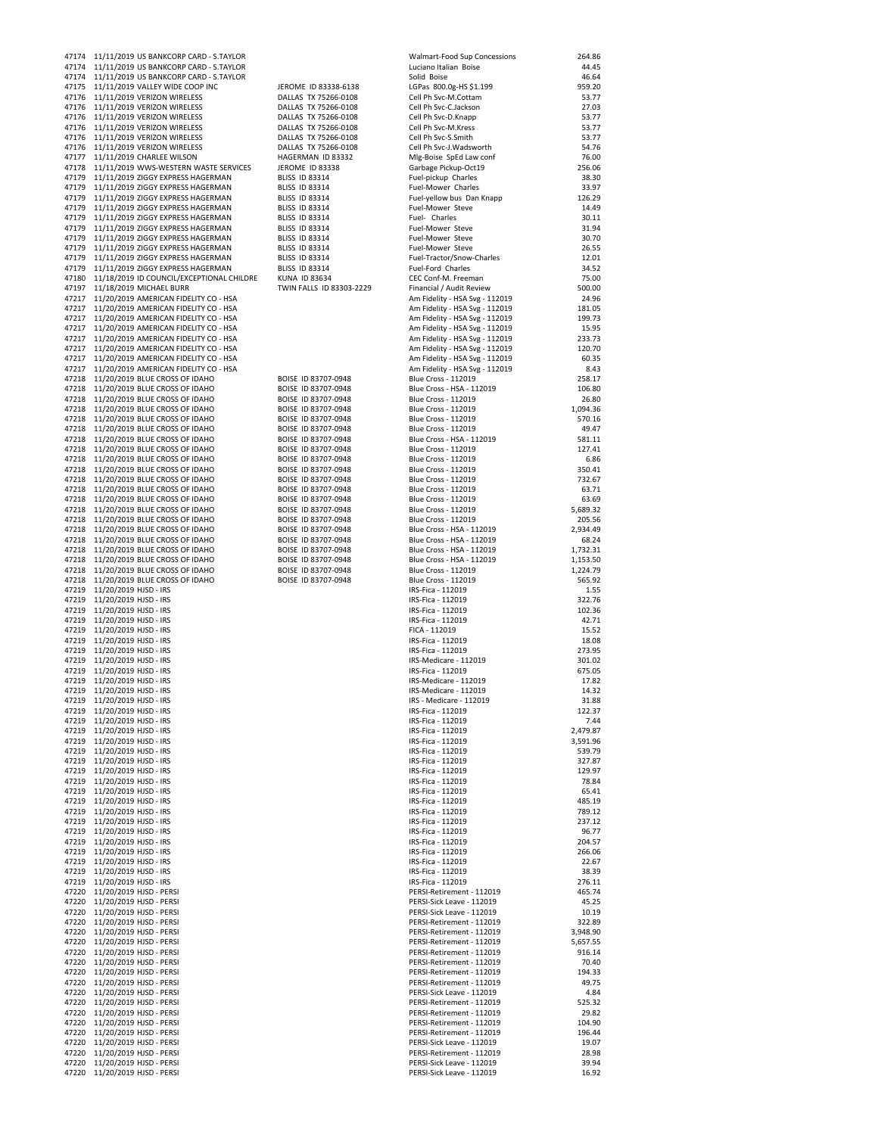|                | 47174<br>11/11/2019 US BANKCORP CARD - S.TAYLOR                                      |                                                | Walmart-Food Sup Concessions                                     | 264.86             |
|----------------|--------------------------------------------------------------------------------------|------------------------------------------------|------------------------------------------------------------------|--------------------|
|                | 47174 11/11/2019 US BANKCORP CARD - S.TAYLOR                                         |                                                | Luciano Italian Boise                                            | 44.45              |
| 47174          | 11/11/2019 US BANKCORP CARD - S.TAYLOR                                               |                                                | Solid Boise                                                      | 46.64<br>959.20    |
| 47175<br>47176 | 11/11/2019 VALLEY WIDE COOP INC<br>11/11/2019 VERIZON WIRELESS                       | JEROME ID 83338-6138<br>DALLAS TX 75266-0108   | LGPas 800.0g-HS \$1.199<br>Cell Ph Svc-M.Cottam                  | 53.77              |
| 47176          | 11/11/2019 VERIZON WIRELESS                                                          | DALLAS TX 75266-0108                           | Cell Ph Svc-C.Jackson                                            | 27.03              |
| 47176          | 11/11/2019 VERIZON WIRELESS                                                          | DALLAS TX 75266-0108                           | Cell Ph Svc-D.Knapp                                              | 53.77              |
|                | 47176 11/11/2019 VERIZON WIRELESS                                                    | DALLAS TX 75266-0108                           | Cell Ph Svc-M.Kress                                              | 53.77              |
|                | 47176 11/11/2019 VERIZON WIRELESS                                                    | DALLAS TX 75266-0108                           | Cell Ph Svc-S.Smith                                              | 53.77              |
| 47176          | 11/11/2019 VERIZON WIRELESS                                                          | DALLAS TX 75266-0108                           | Cell Ph Svc-J.Wadsworth                                          | 54.76              |
| 47177          | 11/11/2019 CHARLEE WILSON                                                            | HAGERMAN ID 83332                              | Mlg-Boise SpEd Law conf                                          | 76.00              |
| 47178<br>47179 | 11/11/2019 WWS-WESTERN WASTE SERVICES<br>11/11/2019 ZIGGY EXPRESS HAGERMAN           | JEROME ID 83338<br><b>BLISS ID 83314</b>       | Garbage Pickup-Oct19<br>Fuel-pickup Charles                      | 256.06<br>38.30    |
| 47179          | 11/11/2019 ZIGGY EXPRESS HAGERMAN                                                    | <b>BLISS ID 83314</b>                          | Fuel-Mower Charles                                               | 33.97              |
|                | 47179 11/11/2019 ZIGGY EXPRESS HAGERMAN                                              | <b>BLISS ID 83314</b>                          | Fuel-yellow bus Dan Knapp                                        | 126.29             |
| 47179          | 11/11/2019 ZIGGY EXPRESS HAGERMAN                                                    | <b>BLISS ID 83314</b>                          | Fuel-Mower Steve                                                 | 14.49              |
| 47179          | 11/11/2019 ZIGGY EXPRESS HAGERMAN                                                    | <b>BLISS ID 83314</b>                          | Fuel- Charles                                                    | 30.11              |
| 47179          | 11/11/2019 ZIGGY EXPRESS HAGERMAN                                                    | <b>BLISS ID 83314</b>                          | Fuel-Mower Steve                                                 | 31.94              |
| 47179          | 11/11/2019 ZIGGY EXPRESS HAGERMAN                                                    | <b>BLISS ID 83314</b>                          | Fuel-Mower Steve                                                 | 30.70              |
| 47179<br>47179 | 11/11/2019 ZIGGY EXPRESS HAGERMAN<br>11/11/2019 ZIGGY EXPRESS HAGERMAN               | <b>BLISS ID 83314</b><br><b>BLISS ID 83314</b> | Fuel-Mower Steve<br>Fuel-Tractor/Snow-Charles                    | 26.55<br>12.01     |
| 47179          | 11/11/2019 ZIGGY EXPRESS HAGERMAN                                                    | <b>BLISS ID 83314</b>                          | Fuel-Ford Charles                                                | 34.52              |
|                | 47180 11/18/2019 ID COUNCIL/EXCEPTIONAL CHILDRE                                      | KUNA ID 83634                                  | CEC Conf-M. Freeman                                              | 75.00              |
| 47197          | 11/18/2019 MICHAEL BURR                                                              | TWIN FALLS ID 83303-2229                       | Financial / Audit Review                                         | 500.00             |
| 47217          | 11/20/2019 AMERICAN FIDELITY CO - HSA                                                |                                                | Am Fidelity - HSA Svg - 112019                                   | 24.96              |
|                | 47217 11/20/2019 AMERICAN FIDELITY CO - HSA                                          |                                                | Am Fidelity - HSA Svg - 112019                                   | 181.05             |
| 47217          | 11/20/2019 AMERICAN FIDELITY CO - HSA<br>47217 11/20/2019 AMERICAN FIDELITY CO - HSA |                                                | Am Fidelity - HSA Svg - 112019<br>Am Fidelity - HSA Svg - 112019 | 199.73<br>15.95    |
| 47217          | 11/20/2019 AMERICAN FIDELITY CO - HSA                                                |                                                | Am Fidelity - HSA Svg - 112019                                   | 233.73             |
| 47217          | 11/20/2019 AMERICAN FIDELITY CO - HSA                                                |                                                | Am Fidelity - HSA Svg - 112019                                   | 120.70             |
|                | 47217 11/20/2019 AMERICAN FIDELITY CO - HSA                                          |                                                | Am Fidelity - HSA Svg - 112019                                   | 60.35              |
| 47217          | 11/20/2019 AMERICAN FIDELITY CO - HSA                                                |                                                | Am Fidelity - HSA Svg - 112019                                   | 8.43               |
|                | 47218 11/20/2019 BLUE CROSS OF IDAHO                                                 | BOISE ID 83707-0948                            | Blue Cross - 112019                                              | 258.17             |
|                | 47218 11/20/2019 BLUE CROSS OF IDAHO                                                 | BOISE ID 83707-0948                            | Blue Cross - HSA - 112019                                        | 106.80             |
| 47218<br>47218 | 11/20/2019 BLUE CROSS OF IDAHO                                                       | BOISE ID 83707-0948                            | Blue Cross - 112019                                              | 26.80              |
|                | 11/20/2019 BLUE CROSS OF IDAHO                                                       | BOISE ID 83707-0948<br>BOISE ID 83707-0948     | Blue Cross - 112019<br><b>Blue Cross - 112019</b>                | 1,094.36<br>570.16 |
|                | 47218 11/20/2019 BLUE CROSS OF IDAHO<br>47218 11/20/2019 BLUE CROSS OF IDAHO         | BOISE ID 83707-0948                            | <b>Blue Cross - 112019</b>                                       | 49.47              |
|                | 47218 11/20/2019 BLUE CROSS OF IDAHO                                                 | BOISE ID 83707-0948                            | Blue Cross - HSA - 112019                                        | 581.11             |
|                | 47218 11/20/2019 BLUE CROSS OF IDAHO                                                 | BOISE ID 83707-0948                            | Blue Cross - 112019                                              | 127.41             |
| 47218          | 11/20/2019 BLUE CROSS OF IDAHO                                                       | BOISE ID 83707-0948                            | Blue Cross - 112019                                              | 6.86               |
| 47218          | 11/20/2019 BLUE CROSS OF IDAHO                                                       | BOISE ID 83707-0948                            | Blue Cross - 112019                                              | 350.41             |
|                | 47218 11/20/2019 BLUE CROSS OF IDAHO                                                 | BOISE ID 83707-0948                            | Blue Cross - 112019                                              | 732.67             |
|                | 47218 11/20/2019 BLUE CROSS OF IDAHO                                                 | BOISE ID 83707-0948                            | Blue Cross - 112019                                              | 63.71              |
| 47218          | 47218 11/20/2019 BLUE CROSS OF IDAHO<br>11/20/2019 BLUE CROSS OF IDAHO               | BOISE ID 83707-0948<br>BOISE ID 83707-0948     | Blue Cross - 112019<br>Blue Cross - 112019                       | 63.69<br>5,689.32  |
| 47218          | 11/20/2019 BLUE CROSS OF IDAHO                                                       | BOISE ID 83707-0948                            | Blue Cross - 112019                                              | 205.56             |
|                | 47218 11/20/2019 BLUE CROSS OF IDAHO                                                 | BOISE ID 83707-0948                            | Blue Cross - HSA - 112019                                        | 2,934.49           |
|                | 47218 11/20/2019 BLUE CROSS OF IDAHO                                                 | BOISE ID 83707-0948                            | Blue Cross - HSA - 112019                                        | 68.24              |
|                | 47218 11/20/2019 BLUE CROSS OF IDAHO                                                 | BOISE ID 83707-0948                            | Blue Cross - HSA - 112019                                        | 1,732.31           |
|                | 47218 11/20/2019 BLUE CROSS OF IDAHO                                                 | BOISE ID 83707-0948                            | Blue Cross - HSA - 112019                                        | 1,153.50           |
|                | 47218 11/20/2019 BLUE CROSS OF IDAHO                                                 | BOISE ID 83707-0948                            | Blue Cross - 112019                                              | 1,224.79           |
| 47218<br>47219 | 11/20/2019 BLUE CROSS OF IDAHO                                                       | BOISE ID 83707-0948                            | Blue Cross - 112019<br>IRS-Fica - 112019                         | 565.92<br>1.55     |
|                | 11/20/2019 HJSD - IRS<br>47219 11/20/2019 HJSD - IRS                                 |                                                | IRS-Fica - 112019                                                | 322.76             |
|                | 47219 11/20/2019 HJSD - IRS                                                          |                                                | IRS-Fica - 112019                                                | 102.36             |
| 47219          | 11/20/2019 HJSD - IRS                                                                |                                                | IRS-Fica - 112019                                                | 42.71              |
| 47219          | 11/20/2019 HJSD - IRS                                                                |                                                | FICA - 112019                                                    | 15.52              |
|                | 47219 11/20/2019 HJSD - IRS                                                          |                                                | IRS-Fica - 112019                                                | 18.08              |
| 47219          | 11/20/2019 HJSD - IRS                                                                |                                                | IRS-Fica - 112019                                                | 273.95             |
| 47219          | 47219 11/20/2019 HJSD - IRS                                                          |                                                | IRS-Medicare - 112019<br>IRS-Fica - 112019                       | 301.02<br>675.05   |
|                | 11/20/2019 HJSD - IRS<br>47219 11/20/2019 HJSD - IRS                                 |                                                | IRS-Medicare - 112019                                            |                    |
|                |                                                                                      |                                                |                                                                  |                    |
|                |                                                                                      |                                                |                                                                  | 17.82              |
|                | 47219 11/20/2019 HJSD - IRS<br>47219 11/20/2019 HJSD - IRS                           |                                                | IRS-Medicare - 112019<br>IRS - Medicare - 112019                 | 14.32<br>31.88     |
|                | 47219 11/20/2019 HJSD - IRS                                                          |                                                | IRS-Fica - 112019                                                | 122.37             |
|                | 47219 11/20/2019 HJSD - IRS                                                          |                                                | IRS-Fica - 112019                                                | 7.44               |
|                | 47219 11/20/2019 HJSD - IRS                                                          |                                                | IRS-Fica - 112019                                                | 2,479.87           |
|                | 47219 11/20/2019 HJSD - IRS                                                          |                                                | IRS-Fica - 112019                                                | 3,591.96           |
|                | 47219 11/20/2019 HJSD - IRS                                                          |                                                | IRS-Fica - 112019                                                | 539.79             |
|                | 47219 11/20/2019 HJSD - IRS<br>47219 11/20/2019 HJSD - IRS                           |                                                | IRS-Fica - 112019<br>IRS-Fica - 112019                           | 327.87<br>129.97   |
|                | 47219 11/20/2019 HJSD - IRS                                                          |                                                | IRS-Fica - 112019                                                | 78.84              |
|                | 47219 11/20/2019 HJSD - IRS                                                          |                                                | IRS-Fica - 112019                                                | 65.41              |
|                | 47219 11/20/2019 HJSD - IRS                                                          |                                                | IRS-Fica - 112019                                                | 485.19             |
|                | 47219 11/20/2019 HJSD - IRS                                                          |                                                | IRS-Fica - 112019                                                | 789.12             |
|                | 47219 11/20/2019 HJSD - IRS                                                          |                                                | IRS-Fica - 112019                                                | 237.12             |
|                | 47219 11/20/2019 HJSD - IRS                                                          |                                                | IRS-Fica - 112019                                                | 96.77              |
|                | 47219 11/20/2019 HJSD - IRS<br>47219 11/20/2019 HJSD - IRS                           |                                                | IRS-Fica - 112019<br>IRS-Fica - 112019                           | 204.57<br>266.06   |
|                | 47219 11/20/2019 HJSD - IRS                                                          |                                                | IRS-Fica - 112019                                                | 22.67              |
|                | 47219 11/20/2019 HJSD - IRS                                                          |                                                | IRS-Fica - 112019                                                | 38.39              |
|                | 47219 11/20/2019 HJSD - IRS                                                          |                                                | IRS-Fica - 112019                                                | 276.11             |
|                | 47220 11/20/2019 HJSD - PERSI                                                        |                                                | PERSI-Retirement - 112019                                        | 465.74             |
|                | 47220 11/20/2019 HJSD - PERSI                                                        |                                                | PERSI-Sick Leave - 112019                                        | 45.25              |
|                | 47220 11/20/2019 HJSD - PERSI                                                        |                                                | PERSI-Sick Leave - 112019<br>PERSI-Retirement - 112019           | 10.19<br>322.89    |
|                | 47220 11/20/2019 HJSD - PERSI<br>47220 11/20/2019 HJSD - PERSI                       |                                                | PERSI-Retirement - 112019                                        | 3,948.90           |
|                | 47220 11/20/2019 HJSD - PERSI                                                        |                                                | PERSI-Retirement - 112019                                        | 5,657.55           |
|                | 47220 11/20/2019 HJSD - PERSI                                                        |                                                | PERSI-Retirement - 112019                                        | 916.14             |
|                | 47220 11/20/2019 HJSD - PERSI                                                        |                                                | PERSI-Retirement - 112019                                        | 70.40              |
|                | 47220 11/20/2019 HJSD - PERSI                                                        |                                                | PERSI-Retirement - 112019                                        | 194.33             |
|                | 47220 11/20/2019 HJSD - PERSI                                                        |                                                | PERSI-Retirement - 112019                                        | 49.75              |
|                | 47220 11/20/2019 HJSD - PERSI                                                        |                                                | PERSI-Sick Leave - 112019                                        | 4.84               |
|                | 47220 11/20/2019 HJSD - PERSI<br>47220 11/20/2019 HJSD - PERSI                       |                                                | PERSI-Retirement - 112019<br>PERSI-Retirement - 112019           | 525.32<br>29.82    |
|                | 47220 11/20/2019 HJSD - PERSI                                                        |                                                | PERSI-Retirement - 112019                                        | 104.90             |
|                | 47220 11/20/2019 HJSD - PERSI                                                        |                                                | PERSI-Retirement - 112019                                        | 196.44             |
|                | 47220 11/20/2019 HJSD - PERSI                                                        |                                                | PERSI-Sick Leave - 112019                                        | 19.07              |
|                | 47220 11/20/2019 HJSD - PERSI                                                        |                                                | PERSI-Retirement - 112019                                        | 28.98              |
|                | 47220 11/20/2019 HJSD - PERSI<br>47220 11/20/2019 HJSD - PERSI                       |                                                | PERSI-Sick Leave - 112019<br>PERSI-Sick Leave - 112019           | 39.94<br>16.92     |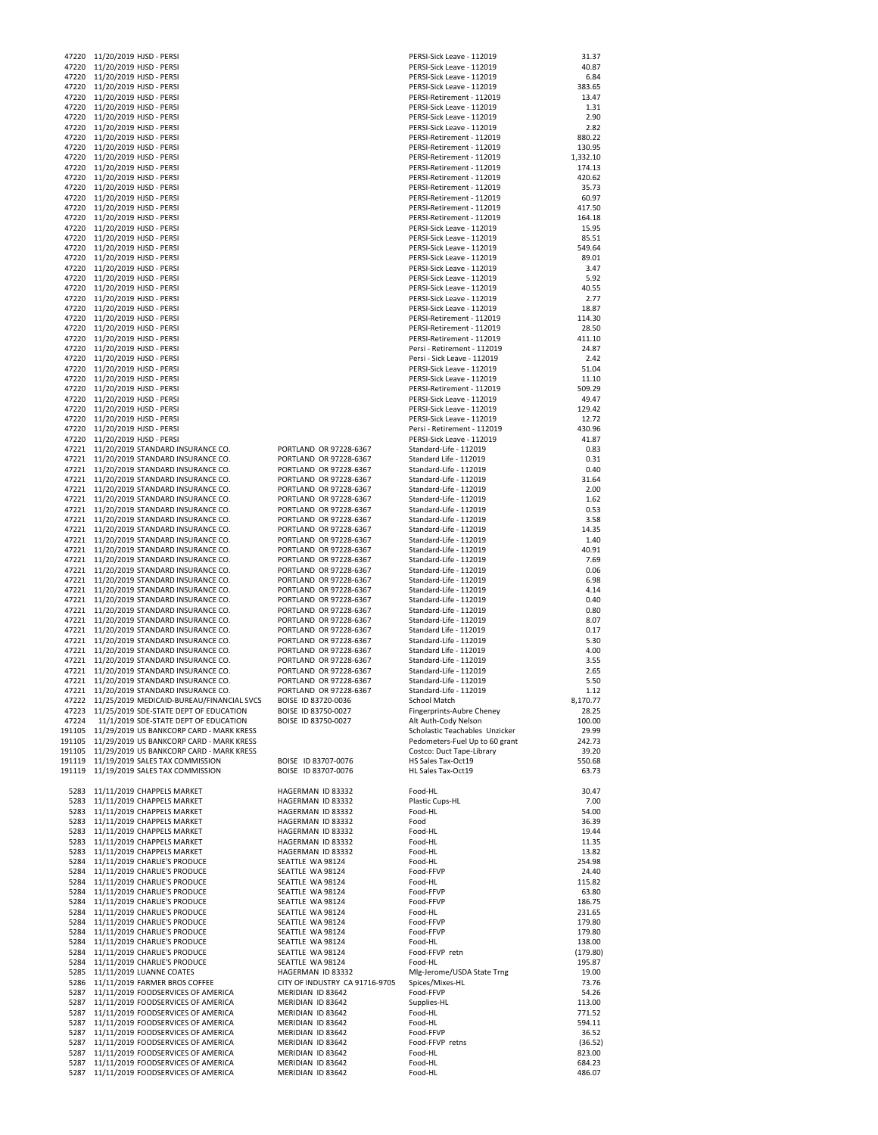| 47220 | 11/20/2019 HJSD - PERSI                                                       |                                        | PERSI-Sick Leave - 112019      | 31.37            |
|-------|-------------------------------------------------------------------------------|----------------------------------------|--------------------------------|------------------|
| 47220 | 11/20/2019 HJSD - PERSI                                                       |                                        | PERSI-Sick Leave - 112019      | 40.87            |
| 47220 | 11/20/2019 HJSD - PERSI                                                       |                                        | PERSI-Sick Leave - 112019      | 6.84             |
| 47220 | 11/20/2019 HJSD - PERSI                                                       |                                        | PERSI-Sick Leave - 112019      | 383.65           |
| 47220 |                                                                               |                                        | PERSI-Retirement - 112019      |                  |
|       | 11/20/2019 HJSD - PERSI                                                       |                                        |                                | 13.47            |
| 47220 | 11/20/2019 HJSD - PERSI                                                       |                                        | PERSI-Sick Leave - 112019      | 1.31             |
| 47220 | 11/20/2019 HJSD - PERSI                                                       |                                        | PERSI-Sick Leave - 112019      | 2.90             |
| 47220 | 11/20/2019 HJSD - PERSI                                                       |                                        | PERSI-Sick Leave - 112019      | 2.82             |
|       | 47220 11/20/2019 HJSD - PERSI                                                 |                                        | PERSI-Retirement - 112019      | 880.22           |
|       | 47220 11/20/2019 HJSD - PERSI                                                 |                                        | PERSI-Retirement - 112019      | 130.95           |
| 47220 | 11/20/2019 HJSD - PERSI                                                       |                                        | PERSI-Retirement - 112019      | 1,332.10         |
| 47220 | 11/20/2019 HJSD - PERSI                                                       |                                        | PERSI-Retirement - 112019      | 174.13           |
|       | 47220 11/20/2019 HJSD - PERSI                                                 |                                        | PERSI-Retirement - 112019      | 420.62           |
| 47220 | 11/20/2019 HJSD - PERSI                                                       |                                        | PERSI-Retirement - 112019      | 35.73            |
|       |                                                                               |                                        |                                |                  |
| 47220 | 11/20/2019 HJSD - PERSI                                                       |                                        | PERSI-Retirement - 112019      | 60.97            |
|       | 47220 11/20/2019 HJSD - PERSI                                                 |                                        | PERSI-Retirement - 112019      | 417.50           |
| 47220 | 11/20/2019 HJSD - PERSI                                                       |                                        | PERSI-Retirement - 112019      | 164.18           |
| 47220 | 11/20/2019 HJSD - PERSI                                                       |                                        | PERSI-Sick Leave - 112019      | 15.95            |
|       | 47220 11/20/2019 HJSD - PERSI                                                 |                                        | PERSI-Sick Leave - 112019      | 85.51            |
| 47220 | 11/20/2019 HJSD - PERSI                                                       |                                        | PERSI-Sick Leave - 112019      | 549.64           |
| 47220 | 11/20/2019 HJSD - PERSI                                                       |                                        | PERSI-Sick Leave - 112019      | 89.01            |
|       | 47220 11/20/2019 HJSD - PERSI                                                 |                                        | PERSI-Sick Leave - 112019      | 3.47             |
| 47220 | 11/20/2019 HJSD - PERSI                                                       |                                        | PERSI-Sick Leave - 112019      | 5.92             |
| 47220 | 11/20/2019 HJSD - PERSI                                                       |                                        | PERSI-Sick Leave - 112019      | 40.55            |
|       | 47220 11/20/2019 HJSD - PERSI                                                 |                                        | PERSI-Sick Leave - 112019      | 2.77             |
|       |                                                                               |                                        |                                |                  |
|       | 47220 11/20/2019 HJSD - PERSI                                                 |                                        | PERSI-Sick Leave - 112019      | 18.87            |
| 47220 | 11/20/2019 HJSD - PERSI                                                       |                                        | PERSI-Retirement - 112019      | 114.30           |
| 47220 | 11/20/2019 HJSD - PERSI                                                       |                                        | PERSI-Retirement - 112019      | 28.50            |
| 47220 | 11/20/2019 HJSD - PERSI                                                       |                                        | PERSI-Retirement - 112019      | 411.10           |
| 47220 | 11/20/2019 HJSD - PERSI                                                       |                                        | Persi - Retirement - 112019    | 24.87            |
|       | 47220 11/20/2019 HJSD - PERSI                                                 |                                        | Persi - Sick Leave - 112019    | 2.42             |
| 47220 | 11/20/2019 HJSD - PERSI                                                       |                                        | PERSI-Sick Leave - 112019      | 51.04            |
| 47220 | 11/20/2019 HJSD - PERSI                                                       |                                        | PERSI-Sick Leave - 112019      | 11.10            |
|       | 47220 11/20/2019 HJSD - PERSI                                                 |                                        | PERSI-Retirement - 112019      | 509.29           |
|       |                                                                               |                                        |                                |                  |
| 47220 | 11/20/2019 HJSD - PERSI                                                       |                                        | PERSI-Sick Leave - 112019      | 49.47            |
| 47220 | 11/20/2019 HJSD - PERSI                                                       |                                        | PERSI-Sick Leave - 112019      | 129.42           |
|       | 47220 11/20/2019 HJSD - PERSI                                                 |                                        | PERSI-Sick Leave - 112019      | 12.72            |
| 47220 | 11/20/2019 HJSD - PERSI                                                       |                                        | Persi - Retirement - 112019    | 430.96           |
| 47220 | 11/20/2019 HJSD - PERSI                                                       |                                        | PERSI-Sick Leave - 112019      | 41.87            |
|       | 47221 11/20/2019 STANDARD INSURANCE CO.                                       | PORTLAND OR 97228-6367                 | Standard-Life - 112019         | 0.83             |
| 47221 | 11/20/2019 STANDARD INSURANCE CO.                                             | PORTLAND OR 97228-6367                 | Standard Life - 112019         | 0.31             |
| 47221 | 11/20/2019 STANDARD INSURANCE CO.                                             | PORTLAND OR 97228-6367                 | Standard-Life - 112019         | 0.40             |
| 47221 | 11/20/2019 STANDARD INSURANCE CO.                                             | PORTLAND OR 97228-6367                 | Standard-Life - 112019         | 31.64            |
|       |                                                                               |                                        |                                |                  |
| 47221 | 11/20/2019 STANDARD INSURANCE CO.                                             | PORTLAND OR 97228-6367                 | Standard-Life - 112019         | 2.00             |
| 47221 | 11/20/2019 STANDARD INSURANCE CO.                                             | PORTLAND OR 97228-6367                 | Standard-Life - 112019         | 1.62             |
| 47221 | 11/20/2019 STANDARD INSURANCE CO.                                             | PORTLAND OR 97228-6367                 | Standard-Life - 112019         | 0.53             |
| 47221 | 11/20/2019 STANDARD INSURANCE CO.                                             | PORTLAND OR 97228-6367                 | Standard-Life - 112019         | 3.58             |
| 47221 | 11/20/2019 STANDARD INSURANCE CO.                                             | PORTLAND OR 97228-6367                 | Standard-Life - 112019         | 14.35            |
| 47221 | 11/20/2019 STANDARD INSURANCE CO.                                             | PORTLAND OR 97228-6367                 | Standard-Life - 112019         | 1.40             |
| 47221 | 11/20/2019 STANDARD INSURANCE CO.                                             | PORTLAND OR 97228-6367                 | Standard-Life - 112019         | 40.91            |
| 47221 | 11/20/2019 STANDARD INSURANCE CO.                                             | PORTLAND OR 97228-6367                 | Standard-Life - 112019         | 7.69             |
|       |                                                                               |                                        |                                |                  |
| 47221 | 11/20/2019 STANDARD INSURANCE CO.                                             | PORTLAND OR 97228-6367                 | Standard-Life - 112019         | 0.06             |
| 47221 | 11/20/2019 STANDARD INSURANCE CO.                                             | PORTLAND OR 97228-6367                 | Standard-Life - 112019         | 6.98             |
| 47221 | 11/20/2019 STANDARD INSURANCE CO.                                             | PORTLAND OR 97228-6367                 | Standard-Life - 112019         | 4.14             |
| 47221 | 11/20/2019 STANDARD INSURANCE CO.                                             | PORTLAND OR 97228-6367                 | Standard-Life - 112019         | 0.40             |
| 47221 | 11/20/2019 STANDARD INSURANCE CO.                                             | PORTLAND OR 97228-6367                 | Standard-Life - 112019         | 0.80             |
| 47221 | 11/20/2019 STANDARD INSURANCE CO.                                             | PORTLAND OR 97228-6367                 | Standard-Life - 112019         | 8.07             |
| 47221 | 11/20/2019 STANDARD INSURANCE CO.                                             | PORTLAND OR 97228-6367                 | Standard Life - 112019         | 0.17             |
| 47221 | 11/20/2019 STANDARD INSURANCE CO.                                             | PORTLAND OR 97228-6367                 | Standard-Life - 112019         | 5.30             |
| 47221 | 11/20/2019 STANDARD INSURANCE CO.                                             | PORTLAND OR 97228-6367                 | Standard Life - 112019         | 4.00             |
| 47221 | 11/20/2019 STANDARD INSURANCE CO.                                             | PORTLAND OR 97228-6367                 | Standard-Life - 112019         | 3.55             |
|       |                                                                               |                                        |                                |                  |
| 47221 | 11/20/2019 STANDARD INSURANCE CO.                                             | PORTLAND OR 97228-6367                 | Standard-Life - 112019         | 2.65             |
|       | 47221 11/20/2019 STANDARD INSURANCE CO.                                       | PORTLAND OR 97228-6367                 | Standard-Life - 112019         | 5.50             |
|       | 47221 11/20/2019 STANDARD INSURANCE CO.                                       | PORTLAND OR 97228-6367                 | Standard-Life - 112019         | 1.12             |
|       | 47222 11/25/2019 MEDICAID-BUREAU/FINANCIAL SVCS                               | BOISE ID 83720-0036                    | School Match                   | 8,170.77         |
|       | 47223 11/25/2019 SDE-STATE DEPT OF EDUCATION                                  | BOISE ID 83750-0027                    | Fingerprints-Aubre Cheney      | 28.25            |
| 47224 | 11/1/2019 SDE-STATE DEPT OF EDUCATION                                         | BOISE ID 83750-0027                    | Alt Auth-Cody Nelson           | 100.00           |
|       | 191105 11/29/2019 US BANKCORP CARD - MARK KRESS                               |                                        | Scholastic Teachables Unzicker | 29.99            |
|       | 191105 11/29/2019 US BANKCORP CARD - MARK KRESS                               |                                        | Pedometers-Fuel Up to 60 grant | 242.73           |
|       | 191105 11/29/2019 US BANKCORP CARD - MARK KRESS                               |                                        | Costco: Duct Tape-Library      | 39.20            |
|       |                                                                               |                                        |                                |                  |
|       | 191119 11/19/2019 SALES TAX COMMISSION                                        | BOISE ID 83707-0076                    | HS Sales Tax-Oct19             | 550.68           |
|       | 191119 11/19/2019 SALES TAX COMMISSION                                        | BOISE ID 83707-0076                    | HL Sales Tax-Oct19             | 63.73            |
|       |                                                                               |                                        |                                |                  |
|       | 5283 11/11/2019 CHAPPELS MARKET                                               | HAGERMAN ID 83332                      | Food-HL                        | 30.47            |
|       | 5283 11/11/2019 CHAPPELS MARKET                                               | HAGERMAN ID 83332                      | Plastic Cups-HL                | 7.00             |
|       | 5283 11/11/2019 CHAPPELS MARKET                                               | HAGERMAN ID 83332                      | Food-HL                        | 54.00            |
|       | 5283 11/11/2019 CHAPPELS MARKET                                               | HAGERMAN ID 83332                      | Food                           | 36.39            |
|       | 5283 11/11/2019 CHAPPELS MARKET                                               | HAGERMAN ID 83332                      | Food-HL                        | 19.44            |
|       | 5283 11/11/2019 CHAPPELS MARKET                                               | HAGERMAN ID 83332                      | Food-HL                        | 11.35            |
|       | 5283 11/11/2019 CHAPPELS MARKET                                               | HAGERMAN ID 83332                      | Food-HL                        | 13.82            |
|       |                                                                               |                                        |                                |                  |
|       | 5284 11/11/2019 CHARLIE'S PRODUCE                                             | SEATTLE WA 98124                       | Food-HL                        | 254.98           |
|       | 5284 11/11/2019 CHARLIE'S PRODUCE                                             | SEATTLE WA 98124                       | Food-FFVP                      | 24.40            |
|       | 5284 11/11/2019 CHARLIE'S PRODUCE                                             | SEATTLE WA 98124                       | Food-HL                        | 115.82           |
|       | 5284 11/11/2019 CHARLIE'S PRODUCE                                             | SEATTLE WA 98124                       | Food-FFVP                      | 63.80            |
|       | 5284 11/11/2019 CHARLIE'S PRODUCE                                             | SEATTLE WA 98124                       | Food-FFVP                      | 186.75           |
|       | 5284 11/11/2019 CHARLIE'S PRODUCE                                             | SEATTLE WA 98124                       | Food-HL                        | 231.65           |
|       | 5284 11/11/2019 CHARLIE'S PRODUCE                                             | SEATTLE WA 98124                       | Food-FFVP                      | 179.80           |
|       | 5284 11/11/2019 CHARLIE'S PRODUCE                                             | SEATTLE WA 98124                       | Food-FFVP                      | 179.80           |
| 5284  | 11/11/2019 CHARLIE'S PRODUCE                                                  | SEATTLE WA 98124                       | Food-HL                        | 138.00           |
|       | 5284 11/11/2019 CHARLIE'S PRODUCE                                             | SEATTLE WA 98124                       | Food-FFVP retn                 | (179.80)         |
|       |                                                                               |                                        |                                |                  |
|       | 5284 11/11/2019 CHARLIE'S PRODUCE                                             | SEATTLE WA 98124                       | Food-HL                        | 195.87           |
| 5285  | 11/11/2019 LUANNE COATES                                                      | HAGERMAN ID 83332                      | Mlg-Jerome/USDA State Trng     | 19.00            |
|       | 5286 11/11/2019 FARMER BROS COFFEE                                            | CITY OF INDUSTRY CA 91716-9705         | Spices/Mixes-HL                | 73.76            |
|       | 5287 11/11/2019 FOODSERVICES OF AMERICA                                       | MERIDIAN ID 83642                      | Food-FFVP                      | 54.26            |
| 5287  | 11/11/2019 FOODSERVICES OF AMERICA                                            | MERIDIAN ID 83642                      | Supplies-HL                    | 113.00           |
|       |                                                                               |                                        | Food-HL                        | 771.52           |
| 5287  | 5287 11/11/2019 FOODSERVICES OF AMERICA                                       | MERIDIAN ID 83642                      |                                |                  |
|       |                                                                               |                                        |                                |                  |
|       | 11/11/2019 FOODSERVICES OF AMERICA                                            | MERIDIAN ID 83642                      | Food-HL                        | 594.11           |
| 5287  | 11/11/2019 FOODSERVICES OF AMERICA                                            | MERIDIAN ID 83642                      | Food-FFVP                      | 36.52            |
| 5287  | 11/11/2019 FOODSERVICES OF AMERICA                                            | MERIDIAN ID 83642                      | Food-FFVP retns                | (36.52)          |
|       | 5287 11/11/2019 FOODSERVICES OF AMERICA                                       | MERIDIAN ID 83642                      | Food-HL                        | 823.00           |
| 5287  | 11/11/2019 FOODSERVICES OF AMERICA<br>5287 11/11/2019 FOODSERVICES OF AMERICA | MERIDIAN ID 83642<br>MERIDIAN ID 83642 | Food-HL<br>Food-HL             | 684.23<br>486.07 |